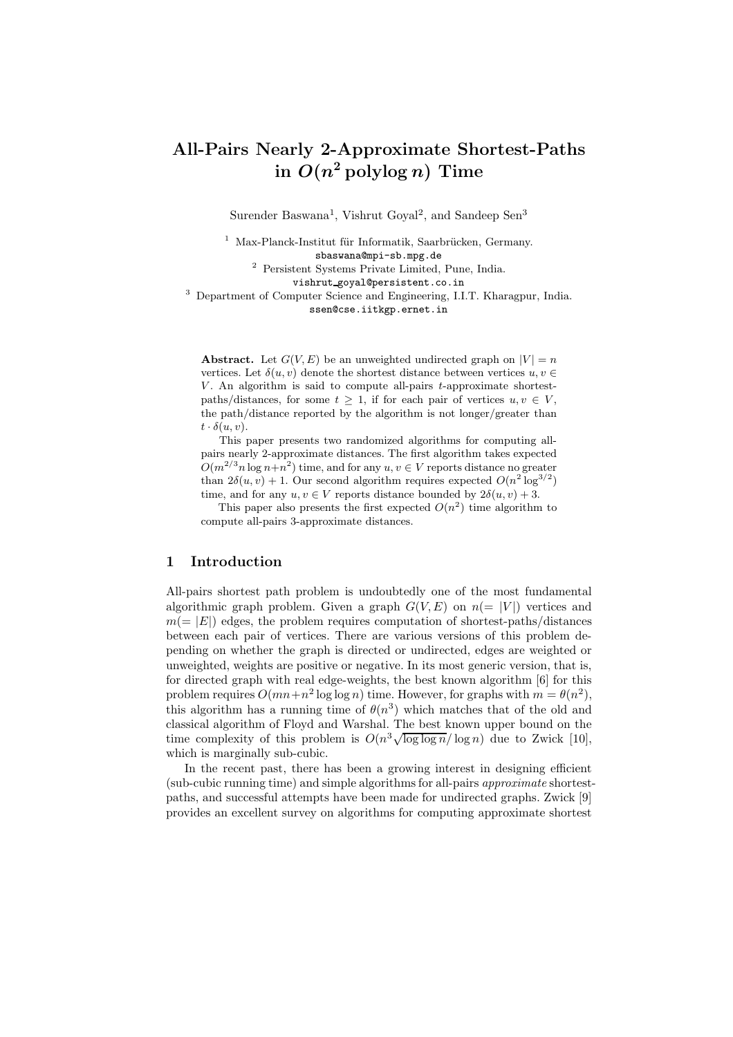# All-Pairs Nearly 2-Approximate Shortest-Paths in  $O(n^2 \operatorname{polylog} n)$  Time

Surender Baswana<sup>1</sup>, Vishrut Goyal<sup>2</sup>, and Sandeep Sen<sup>3</sup>

 $1$  Max-Planck-Institut für Informatik, Saarbrücken, Germany. sbaswana@mpi-sb.mpg.de

<sup>2</sup> Persistent Systems Private Limited, Pune, India.

vishrut goyal@persistent.co.in

<sup>3</sup> Department of Computer Science and Engineering, I.I.T. Kharagpur, India. ssen@cse.iitkgp.ernet.in

**Abstract.** Let  $G(V, E)$  be an unweighted undirected graph on  $|V| = n$ vertices. Let  $\delta(u, v)$  denote the shortest distance between vertices  $u, v \in$ V. An algorithm is said to compute all-pairs  $t$ -approximate shortestpaths/distances, for some  $t > 1$ , if for each pair of vertices  $u, v \in V$ , the path/distance reported by the algorithm is not longer/greater than  $t \cdot \delta(u, v)$ .

This paper presents two randomized algorithms for computing allpairs nearly 2-approximate distances. The first algorithm takes expected  $O(m^{2/3}n \log n + n^2)$  time, and for any  $u, v \in V$  reports distance no greater than  $2\delta(u, v) + 1$ . Our second algorithm requires expected  $O(n^2 \log^{3/2})$ time, and for any  $u, v \in V$  reports distance bounded by  $2\delta(u, v) + 3$ .

This paper also presents the first expected  $O(n^2)$  time algorithm to compute all-pairs 3-approximate distances.

# 1 Introduction

All-pairs shortest path problem is undoubtedly one of the most fundamental algorithmic graph problem. Given a graph  $G(V, E)$  on  $n (= |V|)$  vertices and  $m(= |E|)$  edges, the problem requires computation of shortest-paths/distances between each pair of vertices. There are various versions of this problem depending on whether the graph is directed or undirected, edges are weighted or unweighted, weights are positive or negative. In its most generic version, that is, for directed graph with real edge-weights, the best known algorithm [6] for this problem requires  $O(mn+n^2 \log \log n)$  time. However, for graphs with  $m = \theta(n^2)$ , this algorithm has a running time of  $\theta(n^3)$  which matches that of the old and classical algorithm of Floyd and Warshal. The best known upper bound on the time complexity of this problem is  $O(n^3 \sqrt{\log \log n}/\log n)$  due to Zwick [10], which is marginally sub-cubic.

In the recent past, there has been a growing interest in designing efficient (sub-cubic running time) and simple algorithms for all-pairs approximate shortestpaths, and successful attempts have been made for undirected graphs. Zwick [9] provides an excellent survey on algorithms for computing approximate shortest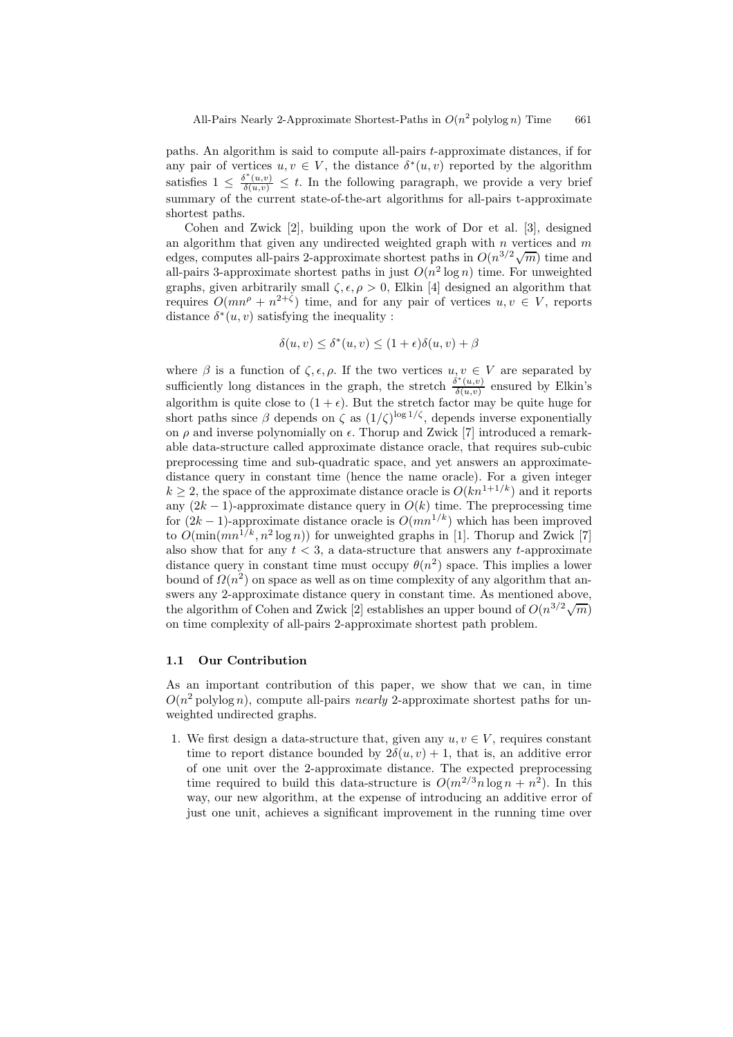paths. An algorithm is said to compute all-pairs t-approximate distances, if for any pair of vertices  $u, v \in V$ , the distance  $\delta^*(u, v)$  reported by the algorithm satisfies  $1 \leq \frac{\delta^*(u,v)}{\delta(u,v)} \leq t$ . In the following paragraph, we provide a very brief summary of the current state-of-the-art algorithms for all-pairs t-approximate shortest paths.

Cohen and Zwick [2], building upon the work of Dor et al. [3], designed an algorithm that given any undirected weighted graph with n vertices and  $m$ edges, computes all-pairs 2-approximate shortest paths in  $O(n^{3/2}\sqrt{m})$  time and all-pairs 3-approximate shortest paths in just  $O(n^2 \log n)$  time. For unweighted graphs, given arbitrarily small  $\zeta, \epsilon, \rho > 0$ , Elkin [4] designed an algorithm that requires  $O(mn^{\rho} + n^{2+\zeta})$  time, and for any pair of vertices  $u, v \in V$ , reports distance  $\delta^*(u, v)$  satisfying the inequality :

$$
\delta(u,v) \le \delta^*(u,v) \le (1+\epsilon)\delta(u,v) + \beta
$$

where  $\beta$  is a function of  $\zeta, \epsilon, \rho$ . If the two vertices  $u, v \in V$  are separated by sufficiently long distances in the graph, the stretch  $\frac{\delta^*(u,v)}{\delta(u,v)}$  $\frac{\partial(u,v)}{\partial(u,v)}$  ensured by Elkin's algorithm is quite close to  $(1 + \epsilon)$ . But the stretch factor may be quite huge for short paths since  $\beta$  depends on  $\zeta$  as  $(1/\zeta)^{\log 1/\zeta}$ , depends inverse exponentially on  $\rho$  and inverse polynomially on  $\epsilon$ . Thorup and Zwick [7] introduced a remarkable data-structure called approximate distance oracle, that requires sub-cubic preprocessing time and sub-quadratic space, and yet answers an approximatedistance query in constant time (hence the name oracle). For a given integer  $k \geq 2$ , the space of the approximate distance oracle is  $O(kn^{1+1/k})$  and it reports any  $(2k-1)$ -approximate distance query in  $O(k)$  time. The preprocessing time for  $(2k-1)$ -approximate distance oracle is  $O(mn^{1/k})$  which has been improved to  $O(\min(mn^{1/k}, n^2 \log n))$  for unweighted graphs in [1]. Thorup and Zwick [7] also show that for any  $t < 3$ , a data-structure that answers any t-approximate distance query in constant time must occupy  $\theta(n^2)$  space. This implies a lower bound of  $\Omega(n^2)$  on space as well as on time complexity of any algorithm that answers any 2-approximate distance query in constant time. As mentioned above, the algorithm of Cohen and Zwick [2] establishes an upper bound of  $O(n^{3/2}\sqrt{m})$ on time complexity of all-pairs 2-approximate shortest path problem.

### 1.1 Our Contribution

As an important contribution of this paper, we show that we can, in time  $O(n^2)$  polylog n), compute all-pairs nearly 2-approximate shortest paths for unweighted undirected graphs.

1. We first design a data-structure that, given any  $u, v \in V$ , requires constant time to report distance bounded by  $2\delta(u, v) + 1$ , that is, an additive error of one unit over the 2-approximate distance. The expected preprocessing time required to build this data-structure is  $O(m^{2/3}n \log n + n^2)$ . In this way, our new algorithm, at the expense of introducing an additive error of just one unit, achieves a significant improvement in the running time over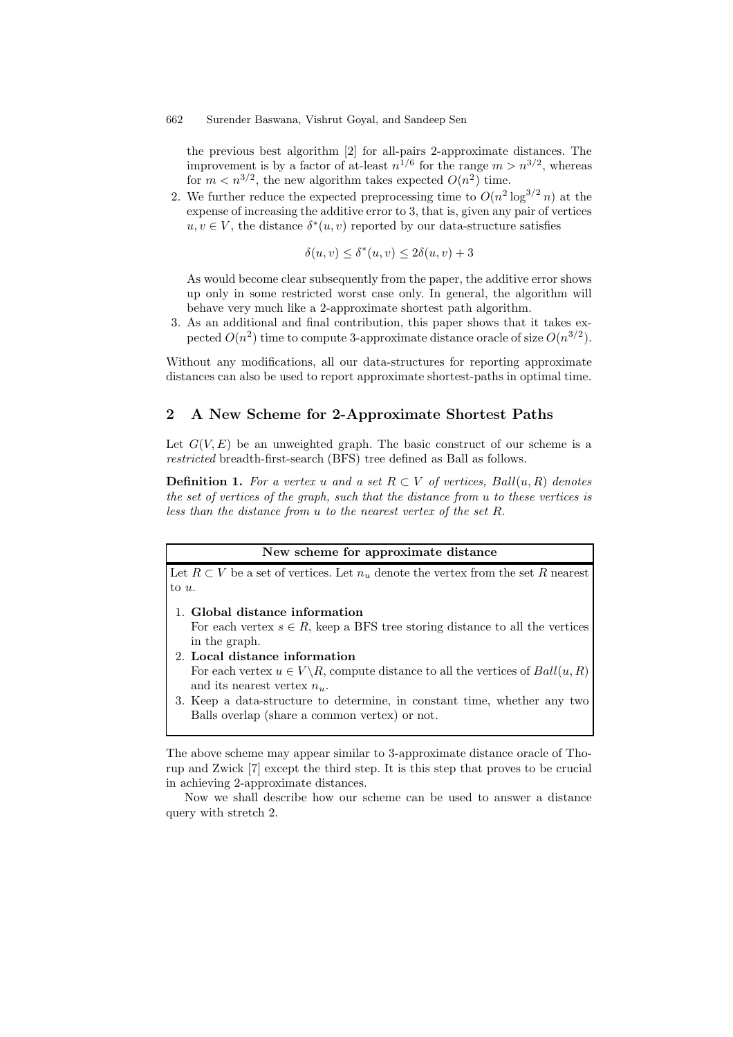the previous best algorithm [2] for all-pairs 2-approximate distances. The improvement is by a factor of at-least  $n^{1/6}$  for the range  $m > n^{3/2}$ , whereas for  $m < n^{3/2}$ , the new algorithm takes expected  $O(n^2)$  time.

2. We further reduce the expected preprocessing time to  $O(n^2 \log^{3/2} n)$  at the expense of increasing the additive error to 3, that is, given any pair of vertices  $u, v \in V$ , the distance  $\delta^*(u, v)$  reported by our data-structure satisfies

$$
\delta(u, v) \le \delta^*(u, v) \le 2\delta(u, v) + 3
$$

As would become clear subsequently from the paper, the additive error shows up only in some restricted worst case only. In general, the algorithm will behave very much like a 2-approximate shortest path algorithm.

3. As an additional and final contribution, this paper shows that it takes expected  $O(n^2)$  time to compute 3-approximate distance oracle of size  $O(n^{3/2})$ .

Without any modifications, all our data-structures for reporting approximate distances can also be used to report approximate shortest-paths in optimal time.

### 2 A New Scheme for 2-Approximate Shortest Paths

Let  $G(V, E)$  be an unweighted graph. The basic construct of our scheme is a restricted breadth-first-search (BFS) tree defined as Ball as follows.

**Definition 1.** For a vertex u and a set  $R \subset V$  of vertices, Ball $(u, R)$  denotes the set of vertices of the graph, such that the distance from u to these vertices is less than the distance from u to the nearest vertex of the set R.

#### New scheme for approximate distance

Let  $R \subset V$  be a set of vertices. Let  $n_u$  denote the vertex from the set R nearest to u.

- 1. Global distance information For each vertex  $s \in R$ , keep a BFS tree storing distance to all the vertices in the graph.
- 2. Local distance information For each vertex  $u \in V \backslash R$ , compute distance to all the vertices of  $Ball(u, R)$ and its nearest vertex  $n_u$ .
- 3. Keep a data-structure to determine, in constant time, whether any two Balls overlap (share a common vertex) or not.

The above scheme may appear similar to 3-approximate distance oracle of Thorup and Zwick [7] except the third step. It is this step that proves to be crucial in achieving 2-approximate distances.

Now we shall describe how our scheme can be used to answer a distance query with stretch 2.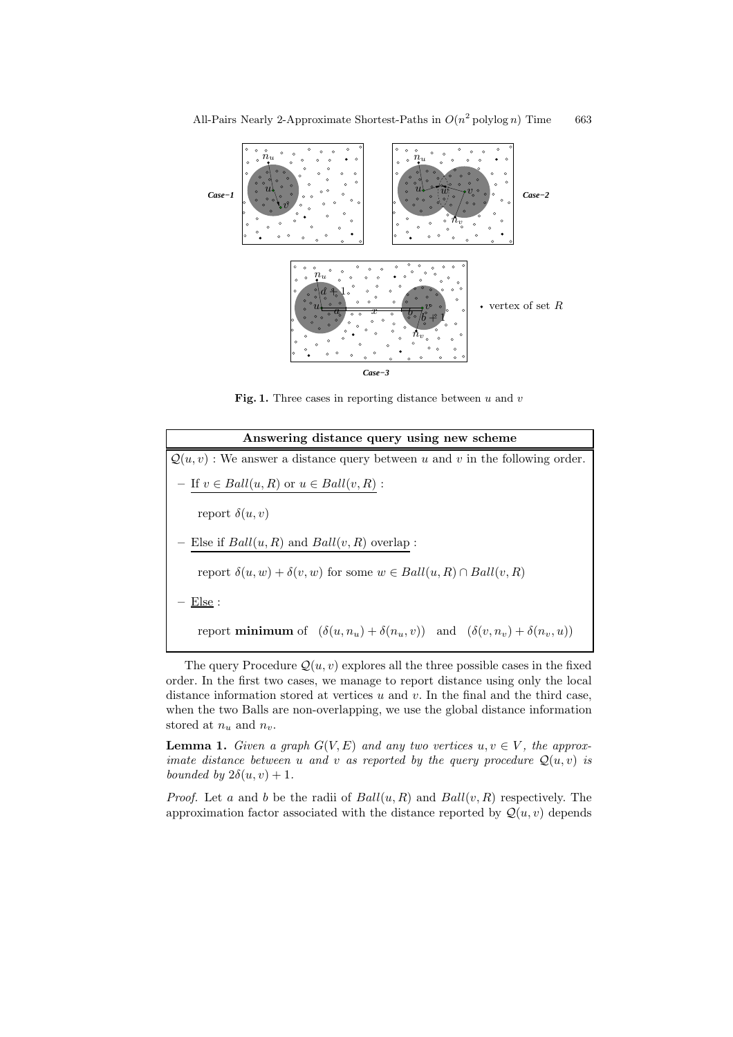

Fig. 1. Three cases in reporting distance between  $u$  and  $v$ 

| Answering distance query using new scheme                                                            |
|------------------------------------------------------------------------------------------------------|
| $\mathcal{Q}(u, v)$ : We answer a distance query between u and v in the following order.             |
| - If $v \in Ball(u, R)$ or $u \in Ball(v, R)$ :                                                      |
| report $\delta(u, v)$                                                                                |
| - Else if $Ball(u, R)$ and $Ball(v, R)$ overlap :                                                    |
| report $\delta(u, w) + \delta(v, w)$ for some $w \in Ball(u, R) \cap Ball(v, R)$                     |
| $E$ lse :                                                                                            |
| report <b>minimum</b> of $(\delta(u, n_u) + \delta(n_u, v))$ and $(\delta(v, n_v) + \delta(n_v, u))$ |

The query Procedure  $Q(u, v)$  explores all the three possible cases in the fixed order. In the first two cases, we manage to report distance using only the local distance information stored at vertices  $u$  and  $v$ . In the final and the third case, when the two Balls are non-overlapping, we use the global distance information stored at  $n_u$  and  $n_v$ .

**Lemma 1.** Given a graph  $G(V, E)$  and any two vertices  $u, v \in V$ , the approximate distance between u and v as reported by the query procedure  $Q(u, v)$  is bounded by  $2\delta(u, v) + 1$ .

*Proof.* Let a and b be the radii of  $Ball(u, R)$  and  $Ball(v, R)$  respectively. The approximation factor associated with the distance reported by  $\mathcal{Q}(u, v)$  depends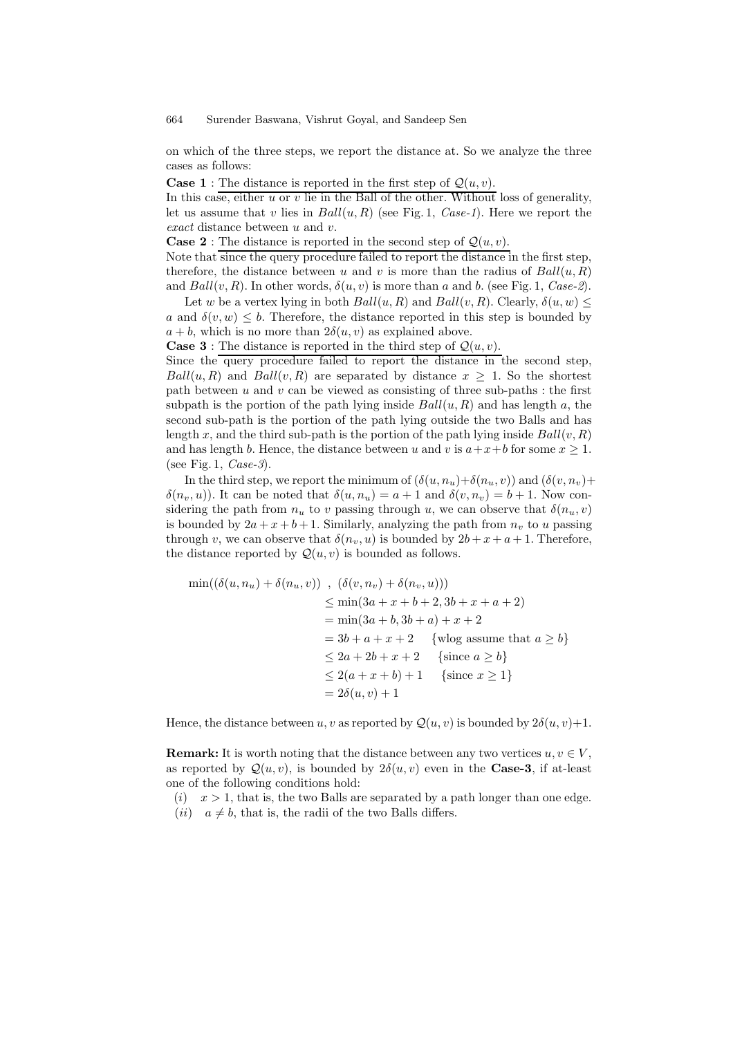on which of the three steps, we report the distance at. So we analyze the three cases as follows:

**Case 1**: The distance is reported in the first step of  $Q(u, v)$ .

In this case, either  $u$  or  $v$  lie in the Ball of the other. Without loss of generality, let us assume that v lies in  $Ball(u, R)$  (see Fig. 1, Case-1). Here we report the exact distance between u and v.

**Case 2**: The distance is reported in the second step of  $Q(u, v)$ .

Note that since the query procedure failed to report the distance in the first step, therefore, the distance between u and v is more than the radius of  $Ball(u, R)$ and  $Ball(v, R)$ . In other words,  $\delta(u, v)$  is more than a and b. (see Fig. 1, Case-2).

Let w be a vertex lying in both  $Ball(u, R)$  and  $Ball(v, R)$ . Clearly,  $\delta(u, w) \leq$ a and  $\delta(v, w) \leq b$ . Therefore, the distance reported in this step is bounded by  $a + b$ , which is no more than  $2\delta(u, v)$  as explained above.

**Case 3** : The distance is reported in the third step of  $Q(u, v)$ .

Since the query procedure failed to report the distance in the second step,  $Ball(u, R)$  and  $Ball(v, R)$  are separated by distance  $x \geq 1$ . So the shortest path between  $u$  and  $v$  can be viewed as consisting of three sub-paths : the first subpath is the portion of the path lying inside  $Ball(u, R)$  and has length a, the second sub-path is the portion of the path lying outside the two Balls and has length x, and the third sub-path is the portion of the path lying inside  $Ball(v, R)$ and has length b. Hence, the distance between u and v is  $a+x+b$  for some  $x \ge 1$ . (see Fig. 1, Case-3).

In the third step, we report the minimum of  $(\delta(u, n_u)+\delta(n_u, v))$  and  $(\delta(v, n_v)+\delta(v, n_v))$  $\delta(n_v, u)$ ). It can be noted that  $\delta(u, n_u) = a + 1$  and  $\delta(v, n_v) = b + 1$ . Now considering the path from  $n_u$  to v passing through u, we can observe that  $\delta(n_u, v)$ is bounded by  $2a + x + b + 1$ . Similarly, analyzing the path from  $n<sub>v</sub>$  to u passing through v, we can observe that  $\delta(n_v, u)$  is bounded by  $2b + x + a + 1$ . Therefore, the distance reported by  $\mathcal{Q}(u, v)$  is bounded as follows.

$$
\min((\delta(u, n_u) + \delta(n_u, v)) , (\delta(v, n_v) + \delta(n_v, u)))
$$
  
\n
$$
\leq \min(3a + x + b + 2, 3b + x + a + 2)
$$
  
\n
$$
= \min(3a + b, 3b + a) + x + 2
$$
  
\n
$$
= 3b + a + x + 2 \text{ {wlog assume that } a \geq b}
$$
  
\n
$$
\leq 2a + 2b + x + 2 \text{ {since } a \geq b}
$$
  
\n
$$
\leq 2(a + x + b) + 1 \text{ {since } x \geq 1}
$$
  
\n
$$
= 2\delta(u, v) + 1
$$

Hence, the distance between u, v as reported by  $\mathcal{Q}(u, v)$  is bounded by  $2\delta(u, v)+1$ .

**Remark:** It is worth noting that the distance between any two vertices  $u, v \in V$ , as reported by  $\mathcal{Q}(u, v)$ , is bounded by  $2\delta(u, v)$  even in the **Case-3**, if at-least one of the following conditions hold:

- $(i)$   $x > 1$ , that is, the two Balls are separated by a path longer than one edge.
- (*ii*)  $a \neq b$ , that is, the radii of the two Balls differs.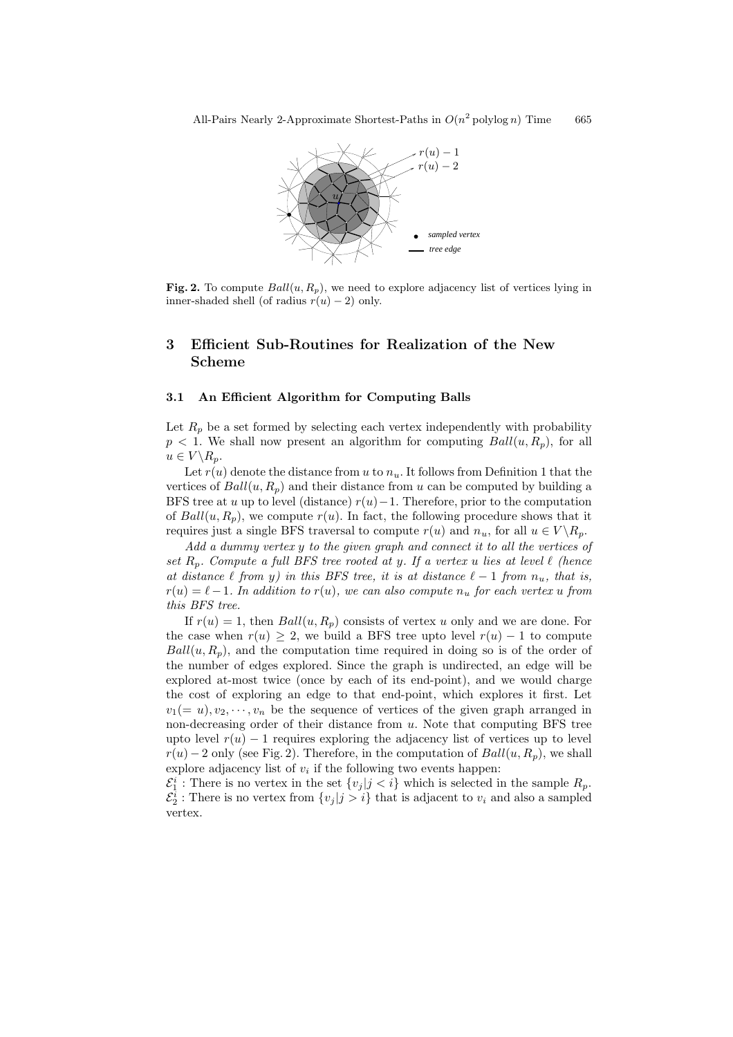

Fig. 2. To compute  $Ball(u, R_p)$ , we need to explore adjacency list of vertices lying in inner-shaded shell (of radius  $r(u) - 2$ ) only.

# 3 Efficient Sub-Routines for Realization of the New Scheme

### 3.1 An Efficient Algorithm for Computing Balls

Let  $R_p$  be a set formed by selecting each vertex independently with probability  $p < 1$ . We shall now present an algorithm for computing  $Ball(u, R_p)$ , for all  $u \in V \backslash R_p.$ 

Let  $r(u)$  denote the distance from u to  $n_u$ . It follows from Definition 1 that the vertices of  $Ball(u, R_n)$  and their distance from u can be computed by building a BFS tree at u up to level (distance)  $r(u)-1$ . Therefore, prior to the computation of  $Ball(u, R_p)$ , we compute  $r(u)$ . In fact, the following procedure shows that it requires just a single BFS traversal to compute  $r(u)$  and  $n_u$ , for all  $u \in V \backslash R_p$ .

Add a dummy vertex y to the given graph and connect it to all the vertices of set  $R_p$ . Compute a full BFS tree rooted at y. If a vertex u lies at level  $\ell$  (hence at distance  $\ell$  from y) in this BFS tree, it is at distance  $\ell - 1$  from  $n_u$ , that is,  $r(u) = \ell-1$ . In addition to  $r(u)$ , we can also compute  $n_u$  for each vertex u from this BFS tree.

If  $r(u) = 1$ , then  $Ball(u, R_p)$  consists of vertex u only and we are done. For the case when  $r(u) \geq 2$ , we build a BFS tree upto level  $r(u) - 1$  to compute  $Ball(u, R_p)$ , and the computation time required in doing so is of the order of the number of edges explored. Since the graph is undirected, an edge will be explored at-most twice (once by each of its end-point), and we would charge the cost of exploring an edge to that end-point, which explores it first. Let  $v_1(= u), v_2, \dots, v_n$  be the sequence of vertices of the given graph arranged in non-decreasing order of their distance from  $u$ . Note that computing BFS tree upto level  $r(u) - 1$  requires exploring the adjacency list of vertices up to level  $r(u) - 2$  only (see Fig. 2). Therefore, in the computation of  $Ball(u, R_p)$ , we shall explore adjacency list of  $v_i$  if the following two events happen:

 $\mathcal{E}_1^i$ : There is no vertex in the set  $\{v_j | j \lt i\}$  which is selected in the sample  $R_p$ .  $\mathcal{E}_2^i$ : There is no vertex from  $\{v_j | j > i\}$  that is adjacent to  $v_i$  and also a sampled vertex.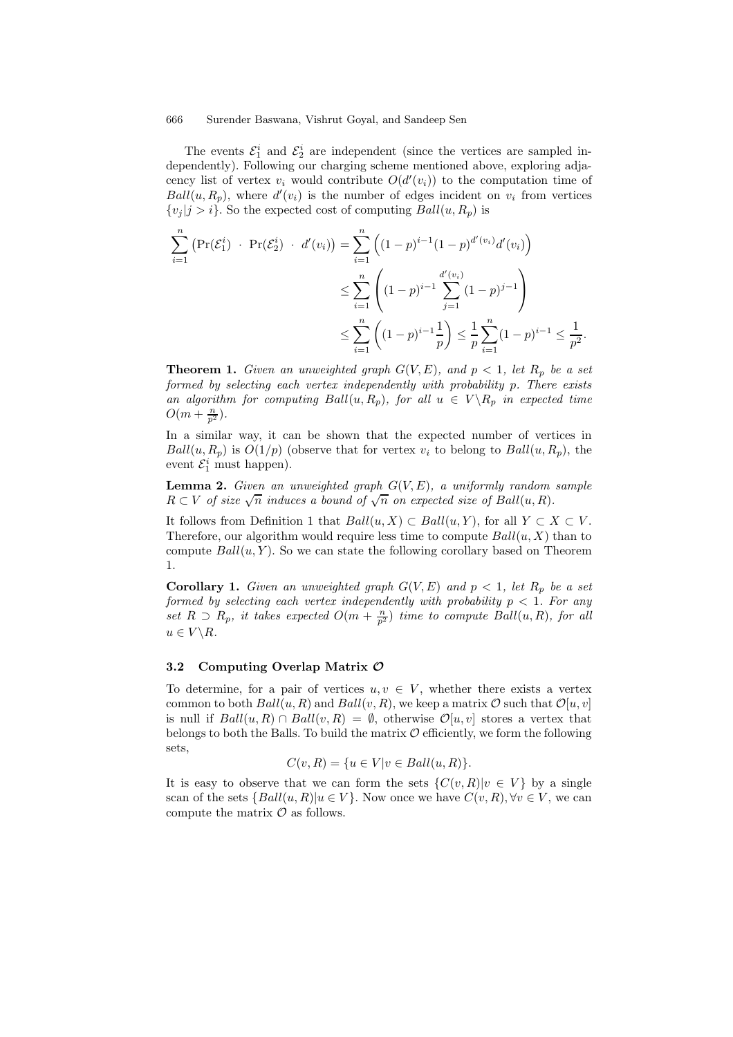The events  $\mathcal{E}_1^i$  and  $\mathcal{E}_2^i$  are independent (since the vertices are sampled independently). Following our charging scheme mentioned above, exploring adjacency list of vertex  $v_i$  would contribute  $O(d'(v_i))$  to the computation time of  $Ball(u, R_p)$ , where  $d'(v_i)$  is the number of edges incident on  $v_i$  from vertices  $\{v_j | j > i\}$ . So the expected cost of computing  $Ball(u, R_p)$  is

$$
\sum_{i=1}^{n} \left( \Pr(\mathcal{E}_{1}^{i}) + \Pr(\mathcal{E}_{2}^{i}) + d'(v_{i}) \right) = \sum_{i=1}^{n} \left( (1-p)^{i-1} (1-p)^{d'(v_{i})} d'(v_{i}) \right)
$$
  

$$
\leq \sum_{i=1}^{n} \left( (1-p)^{i-1} \sum_{j=1}^{d'(v_{i})} (1-p)^{j-1} \right)
$$
  

$$
\leq \sum_{i=1}^{n} \left( (1-p)^{i-1} \frac{1}{p} \right) \leq \frac{1}{p} \sum_{i=1}^{n} (1-p)^{i-1} \leq \frac{1}{p^{2}}
$$

.

**Theorem 1.** Given an unweighted graph  $G(V, E)$ , and  $p < 1$ , let  $R_p$  be a set formed by selecting each vertex independently with probability p. There exists an algorithm for computing  $Ball(u, R_p)$ , for all  $u \in V \backslash R_p$  in expected time  $O(m+\frac{n}{p^2}).$ 

In a similar way, it can be shown that the expected number of vertices in  $Ball(u, R_p)$  is  $O(1/p)$  (observe that for vertex  $v_i$  to belong to  $Ball(u, R_p)$ , the event  $\mathcal{E}_1^i$  must happen).

**Lemma 2.** Given an unweighted graph  $G(V, E)$ , a uniformly random sample  $R\subset V$  of size  $\sqrt{n}$  induces a bound of  $\sqrt{n}$  on expected size of Ball $(u, R)$ .

It follows from Definition 1 that  $Ball(u, X) \subset Ball(u, Y)$ , for all  $Y \subset X \subset V$ . Therefore, our algorithm would require less time to compute  $Ball(u, X)$  than to compute  $Ball(u, Y)$ . So we can state the following corollary based on Theorem 1.

**Corollary 1.** Given an unweighted graph  $G(V, E)$  and  $p < 1$ , let  $R_p$  be a set formed by selecting each vertex independently with probability  $p < 1$ . For any set  $R \supset R_p$ , it takes expected  $O(m + \frac{n}{p^2})$  time to compute Ball $(u, R)$ , for all  $u \in V \backslash R$ .

### 3.2 Computing Overlap Matrix O

To determine, for a pair of vertices  $u, v \in V$ , whether there exists a vertex common to both  $Ball(u, R)$  and  $Ball(v, R)$ , we keep a matrix  $\mathcal{O}$  such that  $\mathcal{O}[u, v]$ is null if  $Ball(u, R) \cap Ball(v, R) = \emptyset$ , otherwise  $\mathcal{O}[u, v]$  stores a vertex that belongs to both the Balls. To build the matrix  $\mathcal O$  efficiently, we form the following sets,

$$
C(v, R) = \{u \in V | v \in Ball(u, R)\}.
$$

It is easy to observe that we can form the sets  $\{C(v,R)|v\in V\}$  by a single scan of the sets  $\{Ball(u, R)|u \in V\}$ . Now once we have  $C(v, R), \forall v \in V$ , we can compute the matrix  $\mathcal O$  as follows.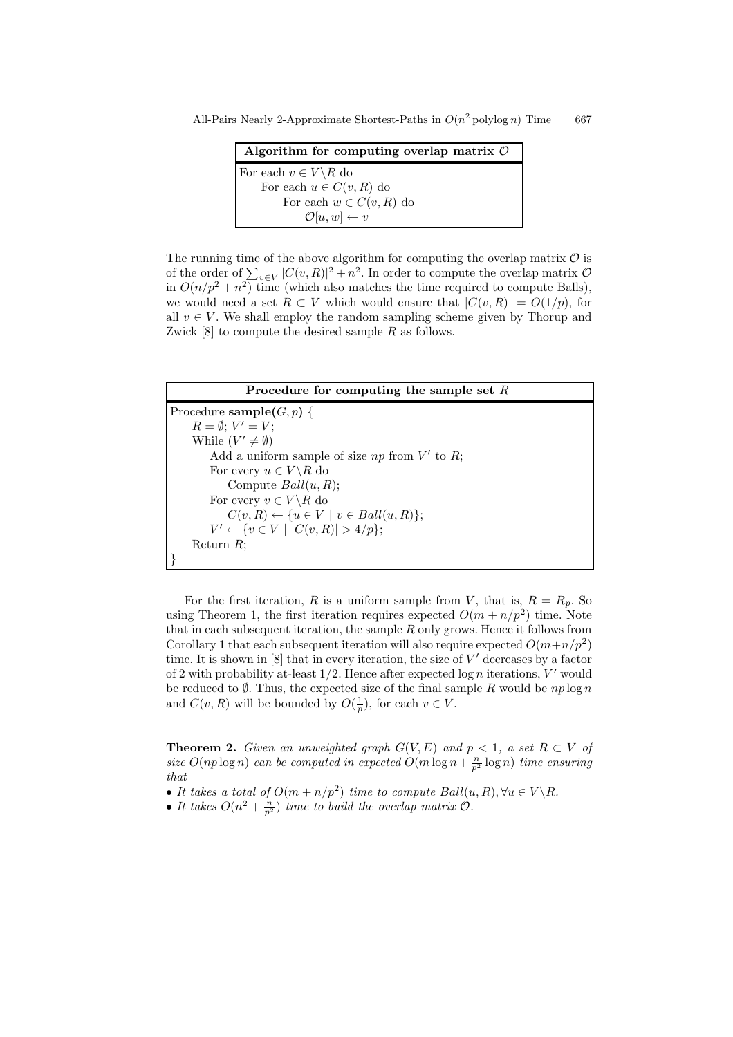All-Pairs Nearly 2-Approximate Shortest-Paths in  $O(n^2)$  polylog n) Time 667

| Algorithm for computing overlap matrix $\mathcal O$ |
|-----------------------------------------------------|
| For each $v \in V \backslash R$ do                  |
| For each $u \in C(v, R)$ do                         |
| For each $w \in C(v, R)$ do                         |
| $\mathcal{O}[u,w] \leftarrow v$                     |

The running time of the above algorithm for computing the overlap matrix  $\mathcal O$  is of the order of  $\sum_{v \in V} |C(v, R)|^2 + n^2$ . In order to compute the overlap matrix  $\mathcal{O}$ in  $O(n/p^2 + n^2)$  time (which also matches the time required to compute Balls), we would need a set  $R \subset V$  which would ensure that  $|C(v, R)| = O(1/p)$ , for all  $v \in V$ . We shall employ the random sampling scheme given by Thorup and Zwick  $[8]$  to compute the desired sample R as follows.



For the first iteration, R is a uniform sample from V, that is,  $R = R_p$ . So using Theorem 1, the first iteration requires expected  $O(m + n/p^2)$  time. Note that in each subsequent iteration, the sample  $R$  only grows. Hence it follows from Corollary 1 that each subsequent iteration will also require expected  $O(m+n/p^2)$ time. It is shown in  $[8]$  that in every iteration, the size of  $V'$  decreases by a factor of 2 with probability at-least  $1/2$ . Hence after expected  $\log n$  iterations, V' would be reduced to  $\emptyset$ . Thus, the expected size of the final sample R would be  $np \log n$ and  $C(v, R)$  will be bounded by  $O(\frac{1}{p})$ , for each  $v \in V$ .

**Theorem 2.** Given an unweighted graph  $G(V, E)$  and  $p < 1$ , a set  $R \subset V$  of size  $O(np \log n)$  can be computed in expected  $O(m \log n + \frac{n}{p^2} \log n)$  time ensuring that

- It takes a total of  $O(m + n/p^2)$  time to compute  $Ball(u, R)$ ,  $\forall u \in V \backslash R$ .
- It takes  $O(n^2 + \frac{n}{p^2})$  time to build the overlap matrix  $O$ .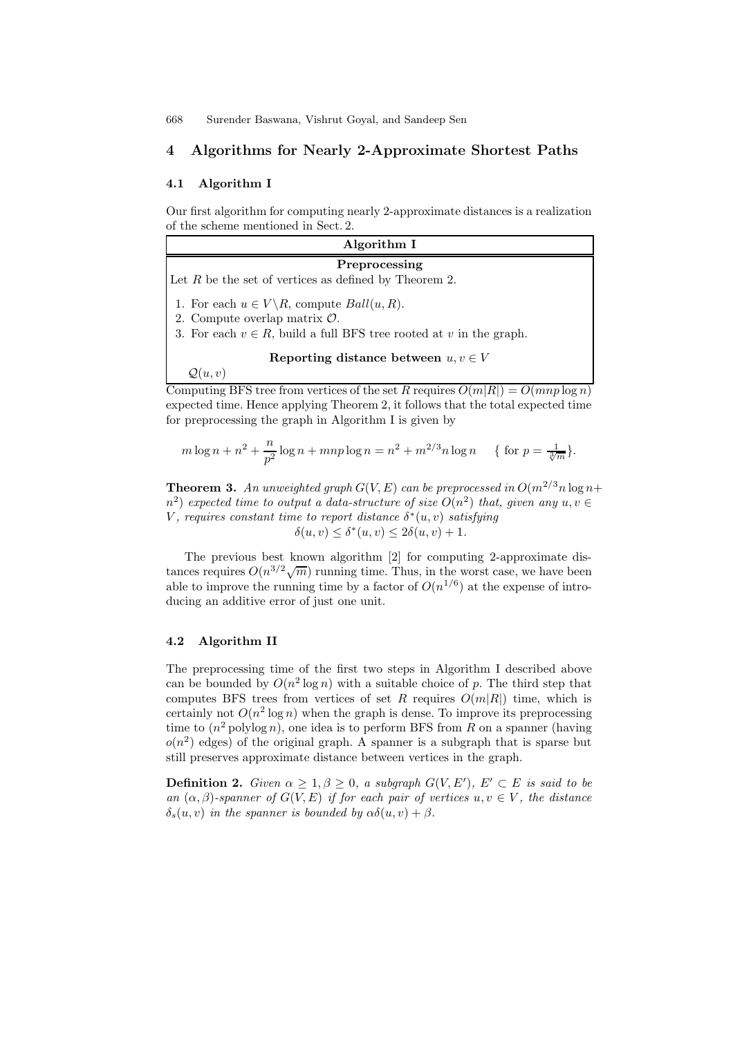for preprocessing the graph in Algorithm I is given by

# 4 Algorithms for Nearly 2-Approximate Shortest Paths

### 4.1 Algorithm I

Our first algorithm for computing nearly 2-approximate distances is a realization of the scheme mentioned in Sect. 2.

| Algorithm I                                                                                              |
|----------------------------------------------------------------------------------------------------------|
| Preprocessing                                                                                            |
| Let $R$ be the set of vertices as defined by Theorem 2.                                                  |
| 1. For each $u \in V \backslash R$ , compute $Ball(u, R)$ .<br>2. Compute overlap matrix $\mathcal{O}$ . |
| 3. For each $v \in R$ , build a full BFS tree rooted at v in the graph.                                  |
|                                                                                                          |
| Reporting distance between $u, v \in V$                                                                  |
| $\mathcal{Q}(u,v)$                                                                                       |
| Computing BFS tree from vertices of the set R requires $O(m R ) = O(mnp \log n)$                         |
| expected time. Hence applying Theorem 2, it follows that the total expected time                         |

$$
m \log n + n^2 + \frac{n}{p^2} \log n + mnp \log n = n^2 + m^{2/3} n \log n \quad \{ \text{ for } p = \frac{1}{\sqrt[3]{m}} \}.
$$

**Theorem 3.** An unweighted graph  $G(V, E)$  can be preprocessed in  $O(m^{2/3}n \log n +$  $(n^2)$  expected time to output a data-structure of size  $O(n^2)$  that, given any  $u, v \in$ V, requires constant time to report distance  $\delta^*(u, v)$  satisfying  $\delta(u, v) \leq \delta^*(u, v) \leq 2\delta(u, v) + 1.$ 

The previous best known algorithm [2] for computing 2-approximate distances requires  $O(n^{3/2}\sqrt{m})$  running time. Thus, in the worst case, we have been able to improve the running time by a factor of  $O(n^{1/6})$  at the expense of introducing an additive error of just one unit.

### 4.2 Algorithm II

The preprocessing time of the first two steps in Algorithm I described above can be bounded by  $O(n^2 \log n)$  with a suitable choice of p. The third step that computes BFS trees from vertices of set R requires  $O(m|R|)$  time, which is certainly not  $O(n^2 \log n)$  when the graph is dense. To improve its preprocessing time to  $(n^2 \text{ polylog } n)$ , one idea is to perform BFS from R on a spanner (having  $o(n^2)$  edges) of the original graph. A spanner is a subgraph that is sparse but still preserves approximate distance between vertices in the graph.

**Definition 2.** Given  $\alpha \geq 1, \beta \geq 0$ , a subgraph  $G(V, E')$ ,  $E' \subset E$  is said to be an  $(\alpha, \beta)$ -spanner of  $G(V, E)$  if for each pair of vertices  $u, v \in V$ , the distance  $\delta_s(u, v)$  in the spanner is bounded by  $\alpha\delta(u, v) + \beta$ .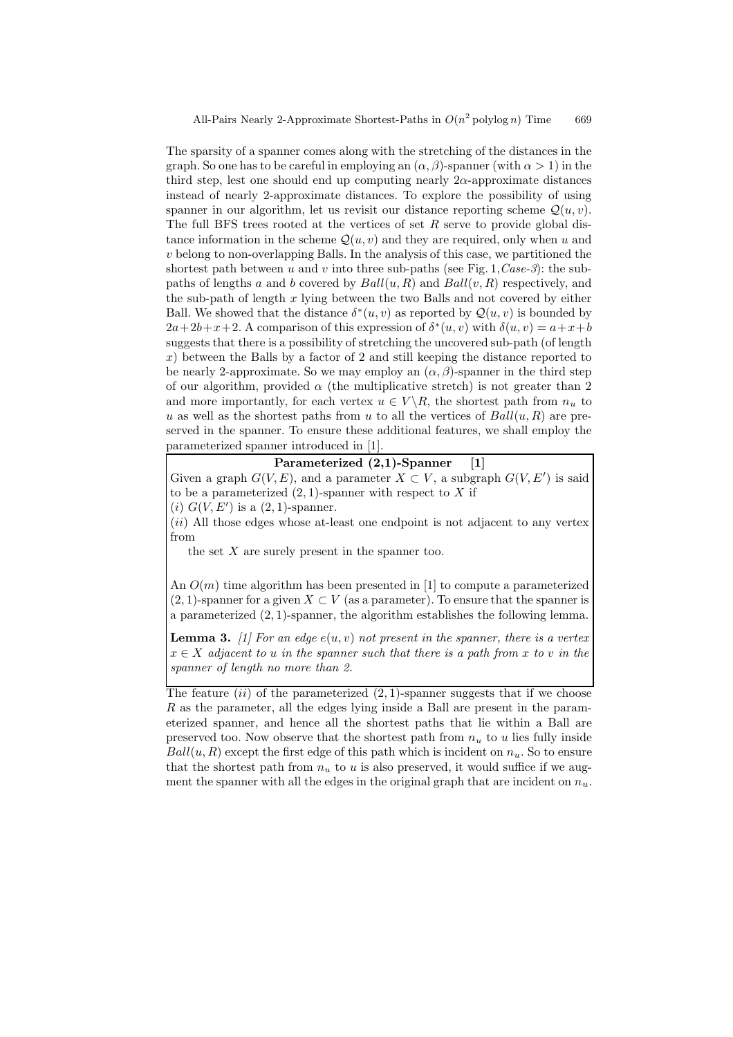The sparsity of a spanner comes along with the stretching of the distances in the graph. So one has to be careful in employing an  $(\alpha, \beta)$ -spanner (with  $\alpha > 1$ ) in the third step, lest one should end up computing nearly  $2\alpha$ -approximate distances instead of nearly 2-approximate distances. To explore the possibility of using spanner in our algorithm, let us revisit our distance reporting scheme  $\mathcal{Q}(u, v)$ . The full BFS trees rooted at the vertices of set  $R$  serve to provide global distance information in the scheme  $\mathcal{Q}(u, v)$  and they are required, only when u and v belong to non-overlapping Balls. In the analysis of this case, we partitioned the shortest path between u and v into three sub-paths (see Fig. 1,  $Case-3$ ): the subpaths of lengths a and b covered by  $Ball(u, R)$  and  $Ball(v, R)$  respectively, and the sub-path of length  $x$  lying between the two Balls and not covered by either Ball. We showed that the distance  $\delta^*(u, v)$  as reported by  $\mathcal{Q}(u, v)$  is bounded by  $2a+2b+x+2$ . A comparison of this expression of  $\delta^*(u, v)$  with  $\delta(u, v) = a+x+b$ suggests that there is a possibility of stretching the uncovered sub-path (of length  $x$ ) between the Balls by a factor of 2 and still keeping the distance reported to be nearly 2-approximate. So we may employ an  $(\alpha, \beta)$ -spanner in the third step of our algorithm, provided  $\alpha$  (the multiplicative stretch) is not greater than 2 and more importantly, for each vertex  $u \in V \backslash R$ , the shortest path from  $n_u$  to u as well as the shortest paths from u to all the vertices of  $Ball(u, R)$  are preserved in the spanner. To ensure these additional features, we shall employ the parameterized spanner introduced in [1].

### Parameterized (2,1)-Spanner [1]

Given a graph  $G(V, E)$ , and a parameter  $X \subset V$ , a subgraph  $G(V, E')$  is said to be a parameterized  $(2, 1)$ -spanner with respect to X if

(*i*)  $G(V, E')$  is a  $(2, 1)$ -spanner.

(ii) All those edges whose at-least one endpoint is not adjacent to any vertex from

the set  $X$  are surely present in the spanner too.

An  $O(m)$  time algorithm has been presented in [1] to compute a parameterized  $(2, 1)$ -spanner for a given  $X \subset V$  (as a parameter). To ensure that the spanner is a parameterized (2, 1)-spanner, the algorithm establishes the following lemma.

**Lemma 3.** [1] For an edge  $e(u, v)$  not present in the spanner, there is a vertex  $x \in X$  adjacent to u in the spanner such that there is a path from x to v in the spanner of length no more than 2.

The feature  $(ii)$  of the parameterized  $(2, 1)$ -spanner suggests that if we choose R as the parameter, all the edges lying inside a Ball are present in the parameterized spanner, and hence all the shortest paths that lie within a Ball are preserved too. Now observe that the shortest path from  $n_u$  to u lies fully inside  $Ball(u, R)$  except the first edge of this path which is incident on  $n_u$ . So to ensure that the shortest path from  $n_u$  to u is also preserved, it would suffice if we augment the spanner with all the edges in the original graph that are incident on  $n_u$ .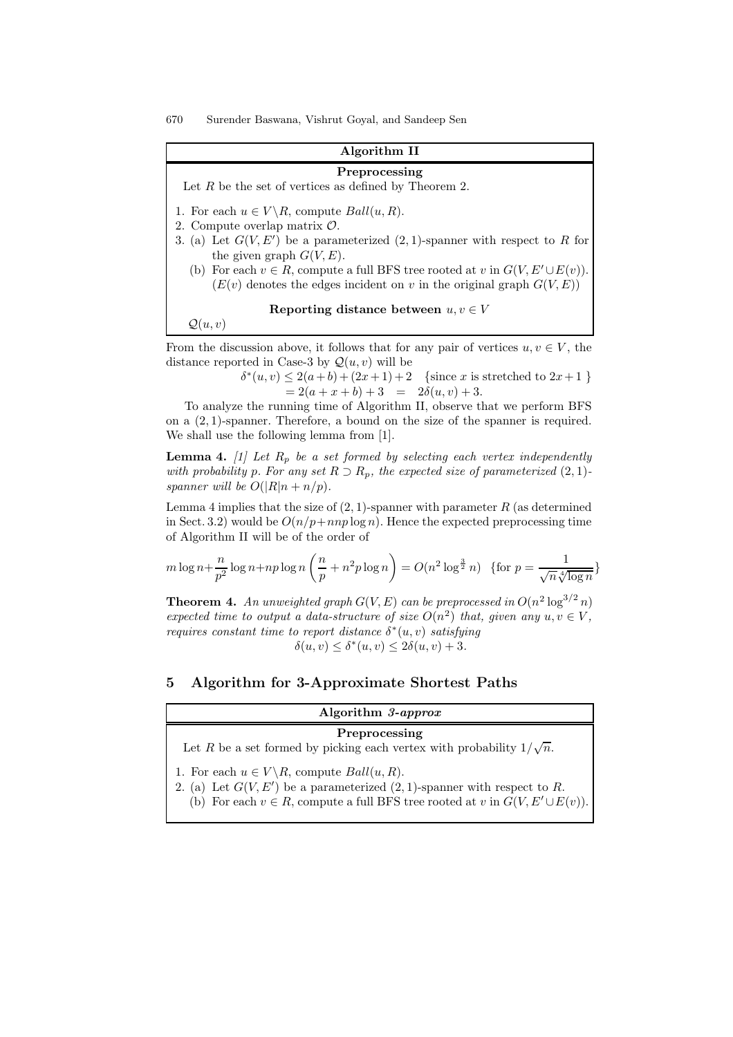### Algorithm II

#### Preprocessing

Let  $R$  be the set of vertices as defined by Theorem 2.

- 1. For each  $u \in V \backslash R$ , compute  $Ball(u, R)$ .
- 2. Compute overlap matrix O.
- 3. (a) Let  $G(V, E')$  be a parameterized  $(2, 1)$ -spanner with respect to R for the given graph  $G(V, E)$ .
	- (b) For each  $v \in R$ , compute a full BFS tree rooted at v in  $G(V, E' \cup E(v))$ .  $(E(v))$  denotes the edges incident on v in the original graph  $G(V, E)$

Reporting distance between  $u, v \in V$ 

 $\mathcal{Q}(u, v)$ 

From the discussion above, it follows that for any pair of vertices  $u, v \in V$ , the distance reported in Case-3 by  $\mathcal{Q}(u, v)$  will be

> $\delta^*(u, v) \leq 2(a+b) + (2x+1)+2$  {since x is stretched to  $2x+1$  }  $= 2(a + x + b) + 3 = 2\delta(u, v) + 3.$

To analyze the running time of Algorithm II, observe that we perform BFS on a  $(2, 1)$ -spanner. Therefore, a bound on the size of the spanner is required. We shall use the following lemma from [1].

**Lemma 4.** [1] Let  $R_p$  be a set formed by selecting each vertex independently with probability p. For any set  $R \supset R_p$ , the expected size of parameterized  $(2, 1)$ spanner will be  $O(|R|n + n/p)$ .

Lemma 4 implies that the size of  $(2, 1)$ -spanner with parameter R (as determined in Sect. 3.2) would be  $O(n/p + nnp \log n)$ . Hence the expected preprocessing time of Algorithm II will be of the order of

$$
m \log n + \frac{n}{p^2} \log n + np \log n \left(\frac{n}{p} + n^2 p \log n\right) = O(n^2 \log^{\frac{3}{2}} n) \text{ {for } } p = \frac{1}{\sqrt{n} \sqrt[4]{\log n}}
$$

**Theorem 4.** An unweighted graph  $G(V, E)$  can be preprocessed in  $O(n^2 \log^{3/2} n)$ expected time to output a data-structure of size  $O(n^2)$  that, given any  $u, v \in V$ , requires constant time to report distance  $\delta^*(u, v)$  satisfying  $\delta(u, v) \leq \delta^*(u, v) \leq 2\delta(u, v) + 3.$ 

# 5 Algorithm for 3-Approximate Shortest Paths

| Algorithm 3-approx                                                                     |
|----------------------------------------------------------------------------------------|
| Preprocessing                                                                          |
| Let R be a set formed by picking each vertex with probability $1/\sqrt{n}$ .           |
| 1. For each $u \in V \backslash R$ , compute $Ball(u, R)$ .                            |
| 2. (a) Let $G(V, E')$ be a parameterized $(2, 1)$ -spanner with respect to R.          |
| (b) For each $v \in R$ , compute a full BFS tree rooted at v in $G(V, E' \cup E(v))$ . |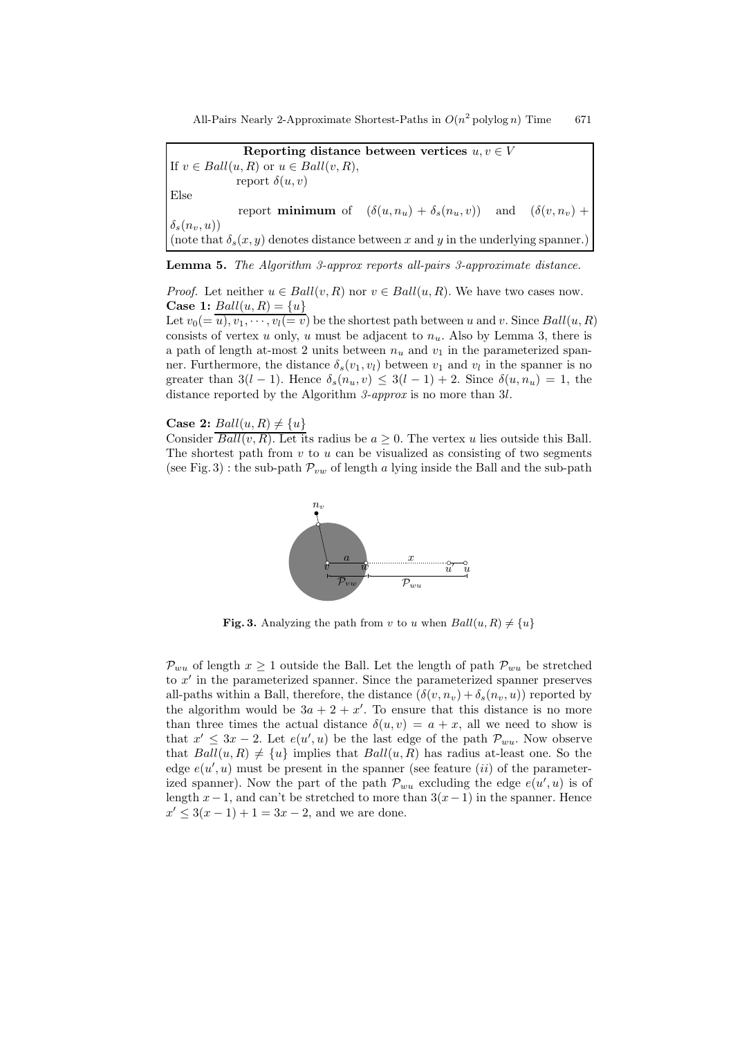All-Pairs Nearly 2-Approximate Shortest-Paths in  $O(n^2)$  polylog n) Time 671

Reporting distance between vertices  $u, v \in V$ If  $v \in Ball(u, R)$  or  $u \in Ball(v, R)$ , report  $\delta(u, v)$ Else report **minimum** of  $(\delta(u, n_u) + \delta_s(n_u, v))$  and  $(\delta(v, n_v) +$  $\delta_s(n_v, u)$ (note that  $\delta_s(x, y)$  denotes distance between x and y in the underlying spanner.)

Lemma 5. The Algorithm 3-approx reports all-pairs 3-approximate distance.

*Proof.* Let neither  $u \in Ball(v, R)$  nor  $v \in Ball(u, R)$ . We have two cases now. **Case 1:**  $Ball(u, R) = \{u\}$ 

Let  $v_0 = \overline{u}, v_1, \dots, v_l = \overline{v}$  be the shortest path between u and v. Since  $Ball(u, R)$ consists of vertex u only, u must be adjacent to  $n_u$ . Also by Lemma 3, there is a path of length at-most 2 units between  $n_u$  and  $v_1$  in the parameterized spanner. Furthermore, the distance  $\delta_s(v_1, v_l)$  between  $v_1$  and  $v_l$  in the spanner is no greater than  $3(l-1)$ . Hence  $\delta_s(n_u, v) \leq 3(l-1) + 2$ . Since  $\delta(u, n_u) = 1$ , the distance reported by the Algorithm 3-approx is no more than 3l.

Case 2:  $Ball(u, R) \neq \{u\}$ 

Consider  $\overline{Ball(v, R)}$ . Let its radius be  $a > 0$ . The vertex u lies outside this Ball. The shortest path from  $v$  to  $u$  can be visualized as consisting of two segments (see Fig. 3) : the sub-path  $\mathcal{P}_{vw}$  of lengths  $\mathcal{S}_{w}$ , lying inside the Ball and the sub-path



Fig. 3. Analyzing the path from v to u when  $Ball(u, R) \neq \{u\}$ 

 $\mathcal{P}_{wu}$  of length  $x \geq 1$  outside the Ball. Let the length of path  $\mathcal{P}_{wu}$  be stretched to  $x'$  in the parameterized spanner. Since the parameterized spanner preserves all-paths within a Ball, therefore, the distance  $(\delta(v, n_v) + \delta_s(n_v, u))$  reported by the algorithm would be  $3a + 2 + x'$ . To ensure that this distance is no more than three times the actual distance  $\delta(u, v) = a + x$ , all we need to show is that  $x' \leq 3x - 2$ . Let  $e(u', u)$  be the last edge of the path  $\mathcal{P}_{wu}$ . Now observe that  $Ball(u, R) \neq \{u\}$  implies that  $Ball(u, R)$  has radius at-least one. So the edge  $e(u', u)$  must be present in the spanner (see feature *(ii)* of the parameterized spanner). Now the part of the path  $\mathcal{P}_{wu}$  excluding the edge  $e(u', u)$  is of length  $x-1$ , and can't be stretched to more than  $3(x-1)$  in the spanner. Hence  $x' \leq 3(x-1) + 1 = 3x - 2$ , and we are done.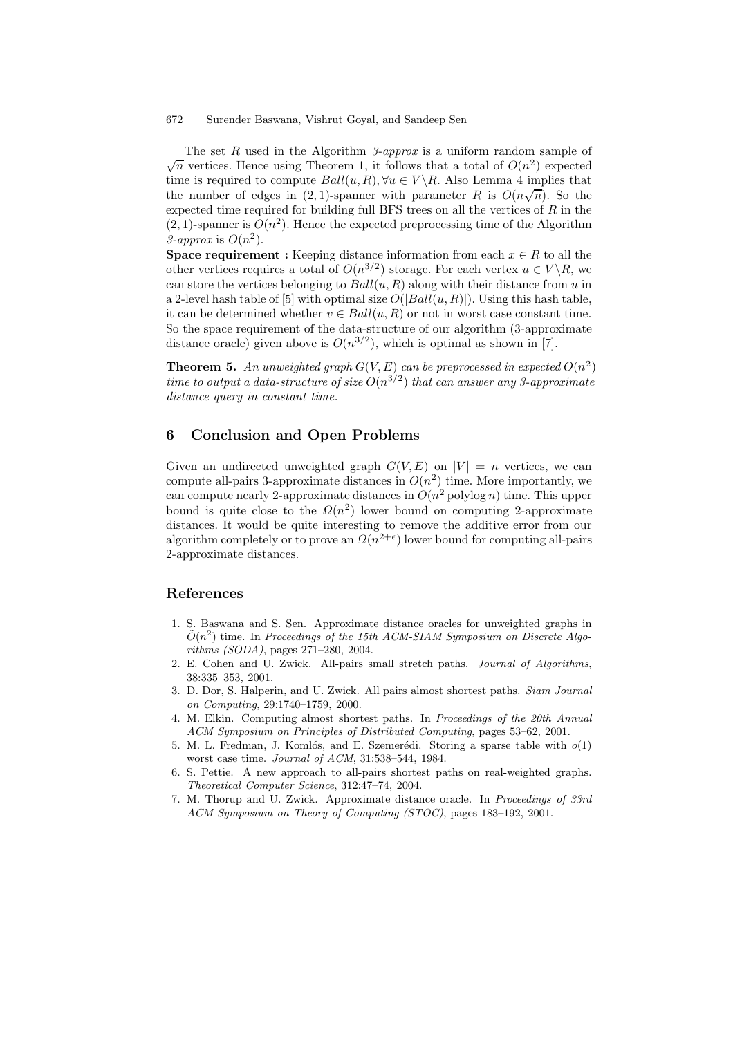The set R used in the Algorithm 3-approx is a uniform random sample of  $\sqrt{n}$  vertices. Hence using Theorem 1, it follows that a total of  $O(n^2)$  expected time is required to compute  $Ball(u, R), \forall u \in V \backslash R$ . Also Lemma 4 implies that the number of edges in (2, 1)-spanner with parameter R is  $O(n\sqrt{n})$ . So the expected time required for building full BFS trees on all the vertices of  $R$  in the  $(2, 1)$ -spanner is  $O(n^2)$ . Hence the expected preprocessing time of the Algorithm 3-approx is  $O(n^2)$ .

**Space requirement :** Keeping distance information from each  $x \in R$  to all the other vertices requires a total of  $O(n^{3/2})$  storage. For each vertex  $u \in V \backslash R$ , we can store the vertices belonging to  $Ball(u, R)$  along with their distance from u in a 2-level hash table of [5] with optimal size  $O(|Ball(u, R)|)$ . Using this hash table, it can be determined whether  $v \in Ball(u, R)$  or not in worst case constant time. So the space requirement of the data-structure of our algorithm (3-approximate distance oracle) given above is  $O(n^{3/2})$ , which is optimal as shown in [7].

**Theorem 5.** An unweighted graph  $G(V, E)$  can be preprocessed in expected  $O(n^2)$ time to output a data-structure of size  $O(n^{3/2})$  that can answer any 3-approximate distance query in constant time.

# 6 Conclusion and Open Problems

Given an undirected unweighted graph  $G(V, E)$  on  $|V| = n$  vertices, we can compute all-pairs 3-approximate distances in  $O(n^2)$  time. More importantly, we can compute nearly 2-approximate distances in  $O(n^2 \text{ polylog } n)$  time. This upper bound is quite close to the  $\Omega(n^2)$  lower bound on computing 2-approximate distances. It would be quite interesting to remove the additive error from our algorithm completely or to prove an  $\Omega(n^{2+\epsilon})$  lower bound for computing all-pairs 2-approximate distances.

### References

- 1. S. Baswana and S. Sen. Approximate distance oracles for unweighted graphs in  $\tilde{O}(n^2)$  time. In Proceedings of the 15th ACM-SIAM Symposium on Discrete Algorithms (SODA), pages 271–280, 2004.
- 2. E. Cohen and U. Zwick. All-pairs small stretch paths. Journal of Algorithms, 38:335–353, 2001.
- 3. D. Dor, S. Halperin, and U. Zwick. All pairs almost shortest paths. Siam Journal on Computing, 29:1740–1759, 2000.
- 4. M. Elkin. Computing almost shortest paths. In Proceedings of the 20th Annual ACM Symposium on Principles of Distributed Computing, pages 53–62, 2001.
- 5. M. L. Fredman, J. Komlós, and E. Szemerédi. Storing a sparse table with  $o(1)$ worst case time. Journal of ACM, 31:538–544, 1984.
- 6. S. Pettie. A new approach to all-pairs shortest paths on real-weighted graphs. Theoretical Computer Science, 312:47–74, 2004.
- 7. M. Thorup and U. Zwick. Approximate distance oracle. In Proceedings of 33rd ACM Symposium on Theory of Computing (STOC), pages 183–192, 2001.